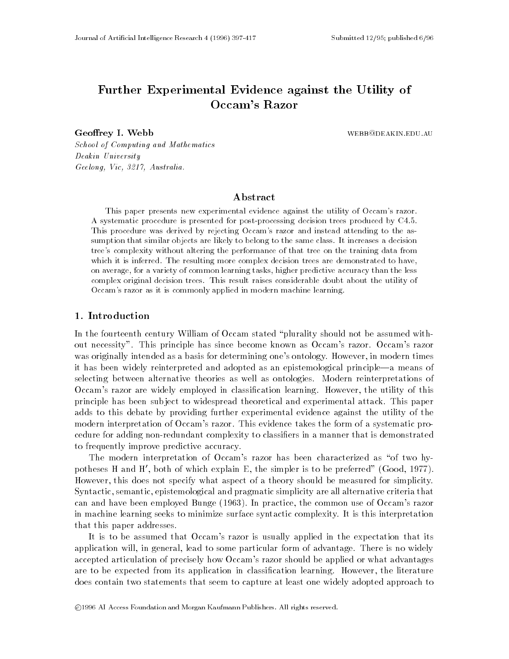# Further Experimental Evidence against the Utility ofOccam's Razor

Geoffrey I. Webb webselection of the webselection of the webselection of the webselection of the webselection of the webselection of the webselection of the webselection of the webselection of the webselection of the webse

School of Computing and Mathematics Deakin University Geelong, Vic, 3217, Australia.

# Abstract

This paper presents new experimental evidence against the utility of Occam's razor. A systematic procedure is presented for post-processing decision trees produced by C4.5. This procedure was derived by rejecting Occam's razor and instead attending to the assumption that similar objects are likely to belong to the same class. It increases a decision tree's complexity without altering the performance of that tree on the training data from which it is inferred. The resulting more complex decision trees are demonstrated to have, on average, for a variety of common learning tasks, higher predictive accuracy than the less complex original decision trees. This result raises considerable doubt about the utility of Occam's razor as it is commonly applied in modern machine learning.

## 1. Introduction

In the fourteenth century William of Occam stated "plurality should not be assumed without necessity". This principle has since become known as Occam's razor. Occam's razor was originally intended as a basis for determining one's ontology. However, in modern times it has been widely reinterpreted and adopted as an epistemological principle—a means of selecting between alternative theories as well as ontologies. Modern reinterpretations of Occam's razor are widely employed in classication learning. However, the utility of this principle has been sub ject to widespread theoretical and experimental attack. This paper adds to this debate by providing further experimental evidence against the utility of the modern interpretation of Occam's razor. This evidence takes the form of a systematic procedure for adding non-redundant complexity to classiers in a manner that is demonstrated to frequently improve predictive accuracy.

The modern interpretation of Occam's razor has been characterized as "of two hypotheses H and H', both of which explain E, the simpler is to be preferred" (Good, 1977). However, this does not specify what aspect of a theory should be measured for simplicity. Syntactic, semantic, epistemological and pragmatic simplicity are all alternative criteria that can and have been employed Bunge (1963). In practice, the common use of Occam's razor in machine learning seeks to minimize surface syntactic complexity. It is this interpretation that this paper addresses.

It is to be assumed that Occam's razor is usually applied in the expectation that its application will, in general, lead to some particular form of advantage. There is no widely accepted articulation of precisely how Occam's razor should be applied or what advantages are to be expected from its application in classication learning. However, the literature does contain two statements that seem to capture at least one widely adopted approach to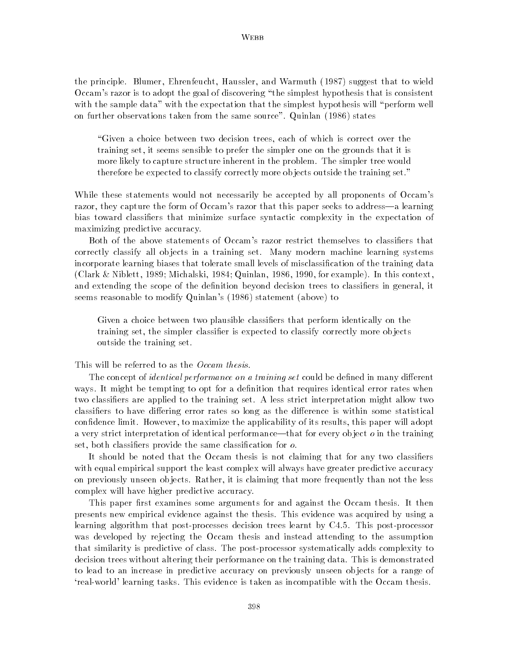### **WEBB**

the principle. Blumer, Ehrenfeucht, Haussler, and Warmuth (1987) suggest that to wield Occam's razor is to adopt the goal of discovering \the simplest hypothesis that is consistent with the sample data" with the expectation that the simplest hypothesis will "perform well on further observations taken from the same source". Quinlan (1986) states

"Given a choice between two decision trees, each of which is correct over the training set, it seems sensible to prefer the simpler one on the grounds that it is more likely to capture structure inherent in the problem. The simpler tree would therefore be expected to classify correctly more ob jects outside the training set."

While these statements would not necessarily be accepted by all proponents of Occam's razor, they capture the form of Occam's razor that this paper seeks to address—a learning bias toward classiers that minimize surface syntactic complexity in the expectation of maximizing predictive accuracy.

Both of the above statements of Occam's razor restrict themselves to classifiers that correctly classify all ob jects in a training set. Many modern machine learning systems incorporate learning biases that tolerate small levels of misclassication of the training data (Clark & Niblett, 1989; Michalski, 1984; Quinlan, 1986, 1990, for example). In this context, and extending the scope of the definition beyond decision trees to classifiers in general, it seems reasonable to modify Quinlan's (1986) statement (above) to

Given a choice between two plausible classifiers that perform identically on the training set, the simpler classifier is expected to classify correctly more objects outside the training set.

### This will be referred to as the *Occam thesis*.

The concept of *identical performance on a training set* could be defined in many different ways. It might be tempting to opt for a definition that requires identical error rates when two classiers are applied to the training set. A less strict interpretation might allow two classifiers to have differing error rates so long as the difference is within some statistical condence limit. However, to maximize the applicability of its results, this paper will adopt a very strict interpretation of identical performance—that for every object  $o$  in the training set, both classifiers provide the same classification for *o*.

It should be noted that the Occam thesis is not claiming that for any two classifiers with equal empirical support the least complex will always have greater predictive accuracy on previously unseen ob jects. Rather, it is claiming that more frequently than not the less complex will have higher predictive accuracy.

This paper first examines some arguments for and against the Occam thesis. It then presents new empirical evidence against the thesis. This evidence was acquired by using a learning algorithm that post-processes decision trees learnt by C4.5. This post-processor was developed by rejecting the Occam thesis and instead attending to the assumption that similarity is predictive of class. The post-processor systematically adds complexity to decision trees without altering their performance on the training data. This is demonstrated to lead to an increase in predictive accuracy on previously unseen ob jects for a range of `real-world' learning tasks. This evidence is taken as incompatible with the Occam thesis.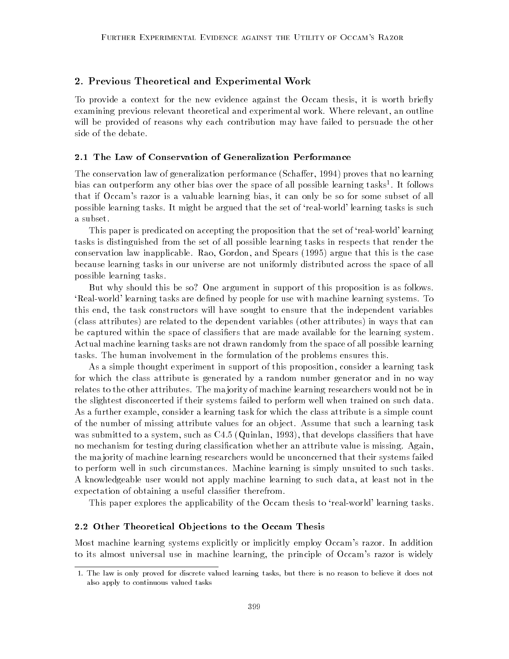## 2. Previous Theoretical and Experimental Work

To provide a context for the new evidence against the Occam thesis, it is worth briefly examining previous relevant theoretical and experimental work. Where relevant, an outline will be provided of reasons why each contribution may have failed to persuade the other side of the debate.

# 2.1 The Law of Conservation of Generalization Performance

The conservation law of generalization performance (Schaffer, 1994) proves that no learning bias can outperform any other bias over the space of all possible learning tasks1 . It follows that if Occam's razor is a valuable learning bias, it can only be so for some subset of all possible learning tasks. It might be argued that the set of `real-world' learning tasks is such a subset.

This paper is predicated on accepting the proposition that the set of `real-world' learning tasks is distinguished from the set of all possible learning tasks in respects that render the conservation law inapplicable. Rao, Gordon, and Spears (1995) argue that this is the case because learning tasks in our universe are not uniformly distributed across the space of all possible learning tasks.

But why should this be so? One argument in support of this proposition is as follows. 'Real-world' learning tasks are defined by people for use with machine learning systems. To this end, the task constructors will have sought to ensure that the independent variables (class attributes) are related to the dependent variables (other attributes) in ways that can be captured within the space of classiers that are made available for the learning system. Actual machine learning tasks are not drawn randomly from the space of all possible learning tasks. The human involvement in the formulation of the problems ensures this.

As a simple thought experiment in support of this proposition, consider a learning task for which the class attribute is generated by a random number generator and in no way relates to the other attributes. The ma jority of machine learning researchers would not be in the slightest disconcerted if their systems failed to perform well when trained on such data. As a further example, consider a learning task for which the class attribute is a simple count of the number of missing attribute values for an ob ject. Assume that such a learning task was submitted to a system, such as C4.5 (Quinlan, 1993), that develops classifiers that have no mechanism for testing during classication whether an attribute value is missing. Again, the ma jority of machine learning researchers would be unconcerned that their systems failed to perform well in such circumstances. Machine learning is simply unsuited to such tasks. A knowledgeable user would not apply machine learning to such data, at least not in the expectation of obtaining a useful classier therefrom.

This paper explores the applicability of the Occam thesis to `real-world' learning tasks.

## 2.2 Other Theoretical Ob jections to the Occam Thesis

Most machine learning systems explicitly or implicitly employ Occam's razor. In addition to its almost universal use in machine learning, the principle of Occam's razor is widely

<sup>1.</sup> The law is only proved for discrete valued learning tasks, but there is no reason to believe it does notalso apply to continuous valued tasks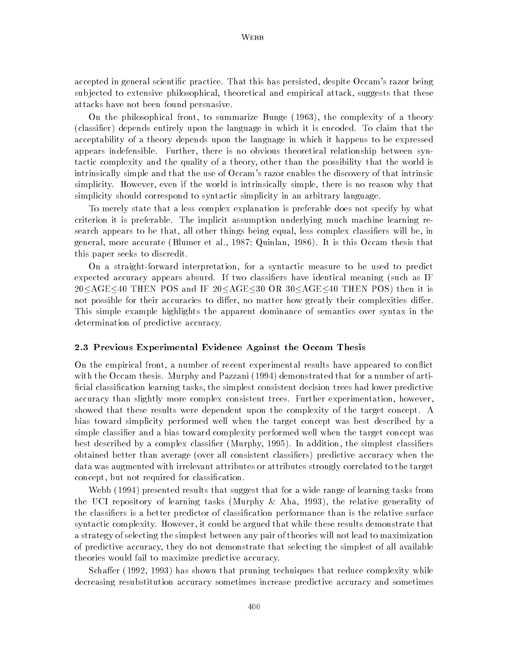accepted in general scientic practice. That this has persisted, despite Occam's razor being sub jected to extensive philosophical, theoretical and empirical attack, suggests that these attacks have not been found persuasive.

On the philosophical front, to summarize Bunge (1963), the complexity of a theory (classier) depends entirely upon the language in which it is encoded. To claim that the acceptability of a theory depends upon the language in which it happens to be expressed appears indefensible. Further, there is no obvious theoretical relationship between syntactic complexity and the quality of a theory, other than the possibility that the world is intrinsically simple and that the use of Occam's razor enables the discovery of that intrinsic simplicity. However, even if the world is intrinsically simple, there is no reason why that simplicity should correspond to syntactic simplicity in an arbitrary language.

To merely state that a less complex explanation is preferable does not specify by what criterion it is preferable. The implicit assumption underlying much machine learning research appears to be that, all other things being equal, less complex classiers will be, in general, more accurate (Blumer et al., 1987; Quinlan, 1986). It is this Occam thesis that this paper seeks to discredit.

On a straight-forward interpretation, for a syntactic measure to be used to predict expected accuracy appears absurd. If two classifiers have identical meaning (such as IF  $20 \leq \text{AGE} \leq 40$  THEN POS and IF  $20 \leq \text{AGE} \leq 30$  OR  $30 \leq \text{AGE} \leq 40$  THEN POS) then it is not possible for their accuracies to differ, no matter how greatly their complexities differ. This simple example highlights the apparent dominance of semantics over syntax in the determination of predictive accuracy.

# 2.3 Previous Experimental Evidence Against the Occam Thesis

On the empirical front, a number of recent experimental results have appeared to con
ict with the Occam thesis. Murphy and Pazzani (1994) demonstrated that for a number of arti ficial classification learning tasks, the simplest consistent decision trees had lower predictive accuracy than slightly more complex consistent trees. Further experimentation, however, showed that these results were dependent upon the complexity of the target concept. A bias toward simplicity performed well when the target concept was best described by a simple classifier and a bias toward complexity performed well when the target concept was best described by a complex classifier (Murphy, 1995). In addition, the simplest classifiers obtained better than average (over all consistent classiers) predictive accuracy when the data was augmented with irrelevant attributes or attributes strongly correlated to the target concept, but not required for classication.

Webb (1994) presented results that suggest that for a wide range of learning tasks from the UCI repository of learning tasks (Murphy & Aha, 1993), the relative generality of the classifiers is a better predictor of classification performance than is the relative surface syntactic complexity. However, it could be argued that while these results demonstrate that a strategy of selecting the simplest between any pair of theories will not lead to maximization of predictive accuracy, they do not demonstrate that selecting the simplest of all available theories would fail to maximize predictive accuracy.

Schaffer (1992, 1993) has shown that pruning techniques that reduce complexity while decreasing resubstitution accuracy sometimes increase predictive accuracy and sometimes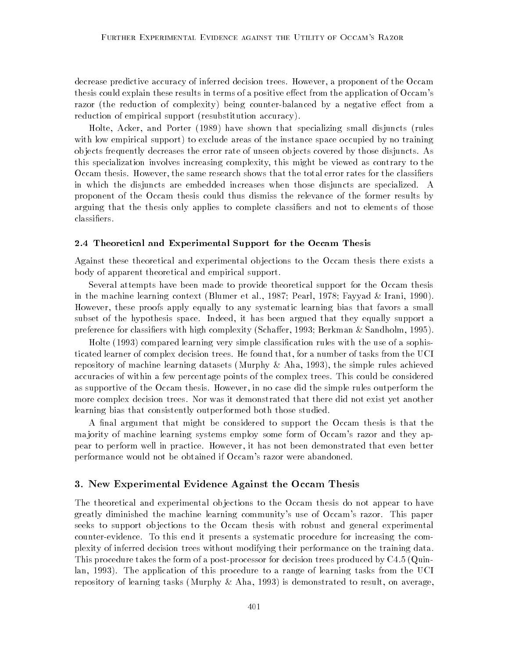decrease predictive accuracy of inferred decision trees. However, a proponent of the Occam thesis could explain these results in terms of a positive effect from the application of Occam's razor (the reduction of complexity) being counter-balanced by a negative effect from a reduction of empirical support (resubstitution accuracy).

Holte, Acker, and Porter (1989) have shown that specializing small disjuncts (rules with low empirical support) to exclude areas of the instance space occupied by no training ob jects frequently decreases the error rate of unseen ob jects covered by those disjuncts. As this specialization involves increasing complexity, this might be viewed as contrary to the Occam thesis. However, the same research shows that the total error rates for the classifiers in which the disjuncts are embedded increases when those disjuncts are specialized. A proponent of the Occam thesis could thus dismiss the relevance of the former results by arguing that the thesis only applies to complete classifiers and not to elements of those classiers.

### 2.4 Theoretical and Experimental Support for the Occam Thesis

Against these theoretical and experimental objections to the Occam thesis there exists a body of apparent theoretical and empirical support.

Several attempts have been made to provide theoretical support for the Occam thesis in the machine learning context (Blumer et al., 1987; Pearl, 1978; Fayyad & Irani, 1990). However, these proofs apply equally to any systematic learning bias that favors a small subset of the hypothesis space. Indeed, it has been argued that they equally support a preference for classifiers with high complexity (Schaffer, 1993; Berkman & Sandholm, 1995).

Holte (1993) compared learning very simple classification rules with the use of a sophisticated learner of complex decision trees. He found that, for a number of tasks from the UCI repository of machine learning datasets (Murphy  $\&$  Aha, 1993), the simple rules achieved accuracies of within a few percentage points of the complex trees. This could be considered as supportive of the Occam thesis. However, in no case did the simple rules outperform the more complex decision trees. Nor was it demonstrated that there did not exist yet another learning bias that consistently outperformed both those studied.

A final argument that might be considered to support the Occam thesis is that the ma jority of machine learning systems employ some form of Occam's razor and they appear to perform well in practice. However, it has not been demonstrated that even better performance would not be obtained if Occam's razor were abandoned.

## 3. New Experimental Evidence Against the Occam Thesis

The theoretical and experimental objections to the Occam thesis do not appear to have greatly diminished the machine learning community's use of Occam's razor. This paper seeks to support objections to the Occam thesis with robust and general experimental counter-evidence. To this end it presents a systematic procedure for increasing the complexity of inferred decision trees without modifying their performance on the training data. This procedure takes the form of a post-processor for decision trees produced by C4.5 (Quinlan, 1993). The application of this procedure to a range of learning tasks from the UCI repository of learning tasks (Murphy  $\&$  Aha, 1993) is demonstrated to result, on average,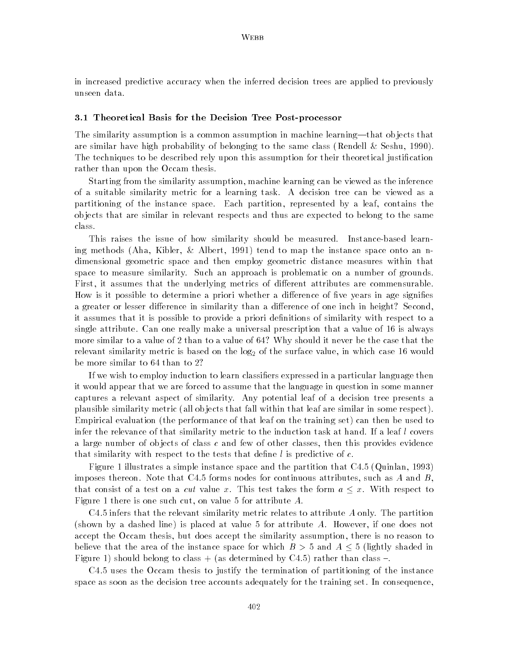in increased predictive accuracy when the inferred decision trees are applied to previously unseen data.

### 3.1 Theoretical Basis for the Decision Tree Post-processor

The similarity assumption is a common assumption in machine learning—that objects that are similar have high probability of belonging to the same class (Rendell & Seshu, 1990). The techniques to be described rely upon this assumption for their theoretical justification rather than upon the Occam thesis.

Starting from the similarity assumption, machine learning can be viewed as the inference of a suitable similarity metric for a learning task. A decision tree can be viewed as a partitioning of the instance space. Each partition, represented by a leaf, contains the ob jects that are similar in relevant respects and thus are expected to belong to the same class.

This raises the issue of how similarity should be measured. Instance-based learning methods (Aha, Kibler, & Albert, 1991) tend to map the instance space onto an ndimensional geometric space and then employ geometric distance measures within that space to measure similarity. Such an approach is problematic on a number of grounds. First, it assumes that the underlying metrics of different attributes are commensurable. How is it possible to determine a priori whether a difference of five years in age signifies a greater or lesser difference in similarity than a difference of one inch in height? Second, it assumes that it is possible to provide a priori definitions of similarity with respect to a single attribute. Can one really make a universal prescription that a value of 16 is always more similar to a value of 2 than to a value of 64? Why should it never be the case that the relevant similarity metric is based on the  $log_2$  of the surface value, in which case 16 would be more similar to 64 than to 2?

If we wish to employ induction to learn classiers expressed in a particular language then it would appear that we are forced to assume that the language in question in some manner captures a relevant aspect of similarity. Any potential leaf of a decision tree presents a plausible similarity metric (all ob jects that fall within that leaf are similar in some respect). Empirical evaluation (the performance of that leaf on the training set) can then be used to infer the relevance of that similarity metric to the induction task at hand. If a leaf l covers a large number of objects of class c and few of other classes, then this provides evidence that similarity with respect to the tests that define  $l$  is predictive of  $c$ .

Figure 1 illustrates a simple instance space and the partition that C4.5 (Quinlan, 1993) imposes thereon. Note that C4.5 forms nodes for continuous attributes, such as A and B. that consist of a test on a *cut* value x. This test takes the form  $a \leq x$ . With respect to Figure 1 there is one such cut, on value 5 for attribute A.

 $C4.5$  infers that the relevant similarity metric relates to attribute A only. The partition (shown by a dashed line) is placed at value 5 for attribute A. However, if one does not accept the Occam thesis, but does accept the similarity assumption, there is no reason to believe that the area of the instance space for which  $B > 5$  and  $A \leq 5$  (lightly shaded in Figure 1) should belong to class + (as determined by C4.5) rather than class  $-$ .

C4.5 uses the Occam thesis to justify the termination of partitioning of the instance space as soon as the decision tree accounts adequately for the training set. In consequence,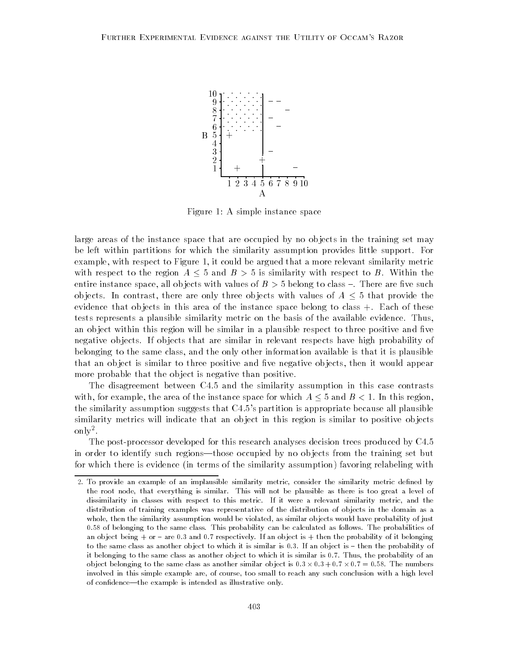

Figure 1: A simple instance space

large areas of the instance space that are occupied by no objects in the training set may be left within partitions for which the similarity assumption provides little support. For example, with respect to Figure 1, it could be argued that a more relevant similarity metric with respect to the region  $A \leq 5$  and  $B > 5$  is similarity with respect to B. Within the entire instance space, all objects with values of  $B > 5$  belong to class  $-$ . There are five such objects. In contrast, there are only three objects with values of  $A \leq 5$  that provide the evidence that objects in this area of the instance space belong to class  $+$ . Each of these tests represents a plausible similarity metric on the basis of the available evidence. Thus, an object within this region will be similar in a plausible respect to three positive and five negative ob jects. If ob jects that are similar in relevant respects have high probability of belonging to the same class, and the only other information available is that it is plausible that an object is similar to three positive and five negative objects, then it would appear more probable that the ob ject is negative than positive.

The disagreement between C4.5 and the similarity assumption in this case contrasts with, for example, the area of the instance space for which  $A \leq 5$  and  $B < 1$ . In this region, the similarity assumption suggests that C4.5's partition is appropriate because all plausible similarity metrics will indicate that an object in this region is similar to positive objects omy.

The post-processor developed for this research analyses decision trees produced by C4.5 in order to identify such regions—those occupied by no objects from the training set but for which there is evidence (in terms of the similarity assumption) favoring relabeling with

<sup>2.</sup> To provide an example of an implausible similarity metric, consider the similarity metric dened bythe root node, that everything is similar. This will not be plausible as there is too great a level of dissimilarity in classes with respect to this metric. If it were a relevant similarity metric, and the distribution of training examples was representative of the distribution of objects in the domain as a whole, then the similarity assumption would be violated, as similar objects would have probability of just 0.58 of belonging to the same class. This probability can be calculated as follows. The probabilities ofan object being  $+$  or  $-$  are 0.3 and 0.7 respectively. If an object is  $+$  then the probability of it belonging to the same class as another object to which it is similar is 0.3. If an object is  $-$  then the probability of it belonging to the same class as another ob ject to which it is similar is 0.7. Thus, the probability of anobject belonging to the same class as another similar object is 0:3  $\times$  0:3  $\pm$  0.7  $\times$  0.7  $=$  0.30. The numbers involved in this simple example are, of course, too small to reach any such conclusion with a high levelof confidence—the example is intended as illustrative only.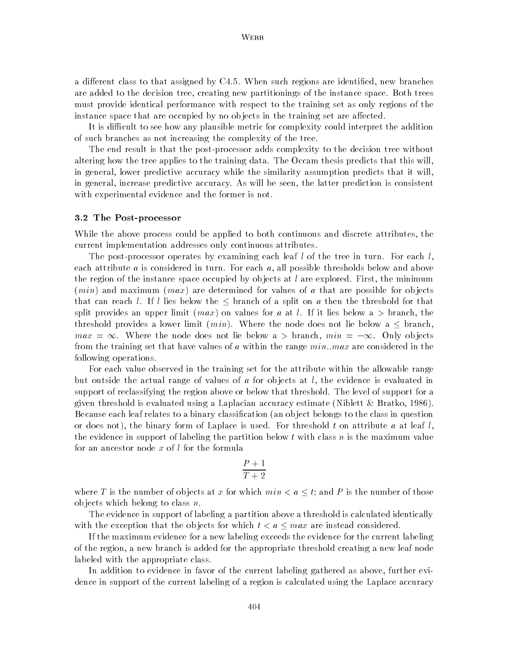a different class to that assigned by C4.5. When such regions are identified, new branches are added to the decision tree, creating new partitionings of the instance space. Both trees must provide identical performance with respect to the training set as only regions of the instance space that are occupied by no objects in the training set are affected.

It is difficult to see how any plausible metric for complexity could interpret the addition of such branches as not increasing the complexity of the tree.

The end result is that the post-processor adds complexity to the decision tree without altering how the tree applies to the training data. The Occam thesis predicts that this will, in general, lower predictive accuracy while the similarity assumption predicts that it will, in general, increase predictive accuracy. As will be seen, the latter prediction is consistent with experimental evidence and the former is not.

#### 3.2 The Post-processor

While the above process could be applied to both continuous and discrete attributes, the current implementation addresses only continuous attributes.

The post-processor operates by examining each leaf l of the tree in turn. For each  $l$ , each attribute a is considered in turn. For each  $a$ , all possible thresholds below and above the region of the instance space occupied by objects at l are explored. First, the minimum  $(min)$  and maximum  $(max)$  are determined for values of a that are possible for objects that can reach l. If l lies below the  $\leq$  branch of a split on a then the threshold for that split provides an upper limit (max) on values for a at l. If it lies below a  $>$  branch, the threshold provides a lower limit  $(min)$ . Where the node does not lie below a  $\leq$  branch,  $max = \infty$ . Where the node does not lie below a > branch,  $min = -\infty$ . Only objects from the training set that have values of a within the range  $min.max$  are considered in the following operations.

For each value observed in the training set for the attribute within the allowable range but outside the actual range of values of a for objects at  $l$ , the evidence is evaluated in support of reclassifying the region above or below that threshold. The level of support for a given threshold is evaluated using a Laplacian accuracy estimate (Niblett & Bratko, 1986). Because each leaf relates to a binary classication (an ob ject belongs to the class in question or does not), the binary form of Laplace is used. For threshold t on attribute a at leaf  $l$ , the evidence in support of labeling the partition below t with class n is the maximum value for an ancestor node  $x$  of  $l$  for the formula

$$
\frac{P+1}{T+2}
$$

where T is the number of objects at x for which  $min < a \leq t$ ; and P is the number of those objects which belong to class  $n$ .

The evidence in support of labeling a partition above a threshold is calculated identically with the exception that the objects for which  $t < a \leq max$  are instead considered.

If the maximum evidence for a new labeling exceeds the evidence for the current labeling of the region, a new branch is added for the appropriate threshold creating a new leaf node labeled with the appropriate class.

In addition to evidence in favor of the current labeling gathered as above, further evidence in support of the current labeling of a region is calculated using the Laplace accuracy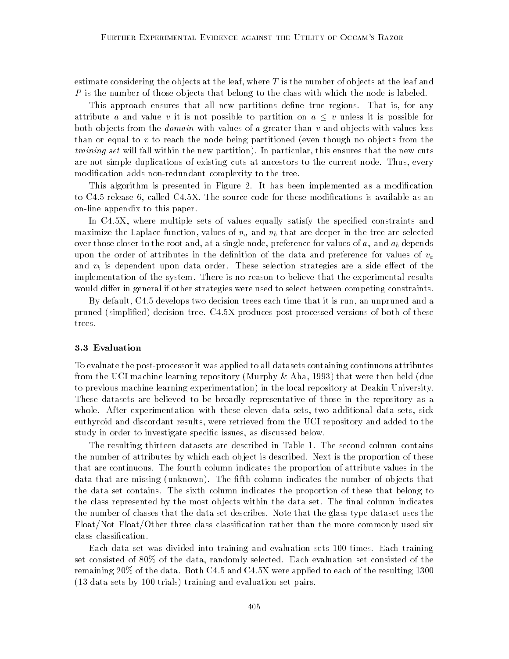estimate considering the objects at the leaf, where  $T$  is the number of objects at the leaf and P is the number of those objects that belong to the class with which the node is labeled.

This approach ensures that all new partitions define true regions. That is, for any attribute a and value v it is not possible to partition on  $a \leq v$  unless it is possible for both objects from the *domain* with values of a greater than  $v$  and objects with values less than or equal to  $v$  to reach the node being partitioned (even though no objects from the training set will fall within the new partition). In particular, this ensures that the new cuts are not simple duplications of existing cuts at ancestors to the current node. Thus, every modication adds non-redundant complexity to the tree.

This algorithm is presented in Figure 2. It has been implemented as a modication to C4.5 release 6, called C4.5X. The source code for these modifications is available as an on-line appendix to this paper.

In C4.5X, where multiple sets of values equally satisfy the specified constraints and maximize the Laplace function, values of  $n_a$  and  $n_b$  that are deeper in the tree are selected over those closer to the root and, at a single node, preference for values of  $a_a$  and  $a_b$  depends upon the order of attributes in the definition of the data and preference for values of  $v_a$ and  $v<sub>b</sub>$  is dependent upon data order. These selection strategies are a side effect of the implementation of the system. There is no reason to believe that the experimental results would differ in general if other strategies were used to select between competing constraints.

By default, C4.5 develops two decision trees each time that it is run, an unpruned and a pruned (simplied) decision tree. C4.5X produces post-processed versions of both of these trees.

#### 3.3 Evaluation

To evaluate the post-processor it was applied to all datasets containing continuous attributes from the UCI machine learning repository (Murphy & Aha, 1993) that were then held (due to previous machine learning experimentation) in the local repository at Deakin University. These datasets are believed to be broadly representative of those in the repository as a whole. After experimentation with these eleven data sets, two additional data sets, sick euthyroid and discordant results, were retrieved from the UCI repository and added to the study in order to investigate specic issues, as discussed below.

The resulting thirteen datasets are described in Table 1. The second column contains the number of attributes by which each ob ject is described. Next is the proportion of these that are continuous. The fourth column indicates the proportion of attribute values in the data that are missing (unknown). The fifth column indicates the number of objects that the data set contains. The sixth column indicates the proportion of these that belong to the class represented by the most objects within the data set. The final column indicates the number of classes that the data set describes. Note that the glass type dataset uses the Float/Not Float/Other three class classication rather than the more commonly used six class classication.

Each data set was divided into training and evaluation sets 100 times. Each training set consisted of 80% of the data, randomly selected. Each evaluation set consisted of the remaining 20% of the data. Both C4.5 and C4.5X were applied to each of the resulting 1300 (13 data sets by 100 trials) training and evaluation set pairs.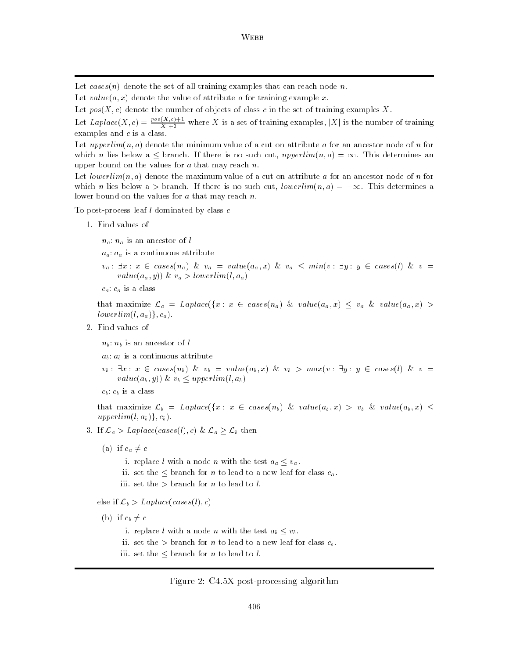Let cases(n) denote the set of all training examples that can reach node n.

- Let  $value(a, x)$  denote the value of attribute a for training example x.
- Let pos(X; c) denote the number of objects of class <sup>c</sup> in the set of training examples X.

Let Laplace(X, c) =  $\frac{pos(x,c)+1}{|X|+2}$  where X is a set of training examples, |X| is the number of training examples and  $c$  is a class.

Let upperlim(n, a) denote the minimum value of a cut on attribute a for an ancestor node of n for which n lies below a  $\leq$  branch. If there is no such cut, upperlim $(n, a) = \infty$ . This determines an upper bound on the values for  $a$  that may reach  $n$ .

Let lowerlim(n, a) denote the maximum value of a cut on attribute a for an ancestor node of n for which n lies below a > branch. If there is no such cut,  $lowerlim(n, a) = -\infty$ . This determines a. lower bound on the values for  $a$  that may reach  $n$ .

To post-process leaf  $l$  dominated by class  $c$ 

- 1. Find values of
	- $n_a$ :  $n_a$  is an ancestor of l
	- $a_a$ :  $a_a$  is a continuous attribute
	- $v_a: \exists x: x \in \text{cases}(n_a) \& v_a = \text{value}(a_a, x) \& v_a \le \min(v: \exists y: y \in \text{cases}(l) \& v =$  $value(a_a, y)$ ) &  $v_a > lowerlim(l, a_a)$
	- $c_a$ :  $c_a$  is a class

that maximize  $\mathcal{L}_a = Laplace(\lbrace x : x \in cases(n_a) \& value(a_a, x) \leq v_a \& value(a_a, x) >$  $lowerlim(l, a_a)\}, c_a).$ 

2. Find values of

 $n_b: n_b$  is an ancestor of l

- $a_b: a_b$  is a continuous attribute
- $v_b: \exists x: x \in cases(n_b) \& v_b = value(a_b, x) \& v_b > max(v : \exists y: y \in cases(l) \& v =$  $value(a_b, y)$ ) &  $v_b \leq upperlim(l, a_b)$
- $c_b$ :  $c_b$  is a class

that maximize  $\mathcal{L}_b = Laplace(\{x : x \in cases(n_b) \& value(a_b, x) > v_b \& value(a_b, x) \leq$ upperlim $(l, a_b)$ ,  $c_b$ ).

- 3. If  $\mathcal{L}_a > Laplace(cases(l), c) \& \mathcal{L}_a \geq \mathcal{L}_b$  then
	- (a) if  $c_a \neq c$ 
		- i. replace l with a node n with the test  $a_a \leq v_a$ .
		- ii. set the  $\leq$  branch for n to lead to a new leaf for class  $c_a$ .
		- iii. set the  $>$  branch for *n* to lead to *l*.
	- else if  $\mathcal{L}_b > Laplace(cases(l), c)$
	- (b) if  $c_b \neq c$ 
		- i. replace l with a node n with the test  $a_b \leq v_b$ .
		- ii. set the  $>$  branch for *n* to lead to a new leaf for class  $c_b$ .
		- iii. set the  $\leq$  branch for *n* to lead to *l*.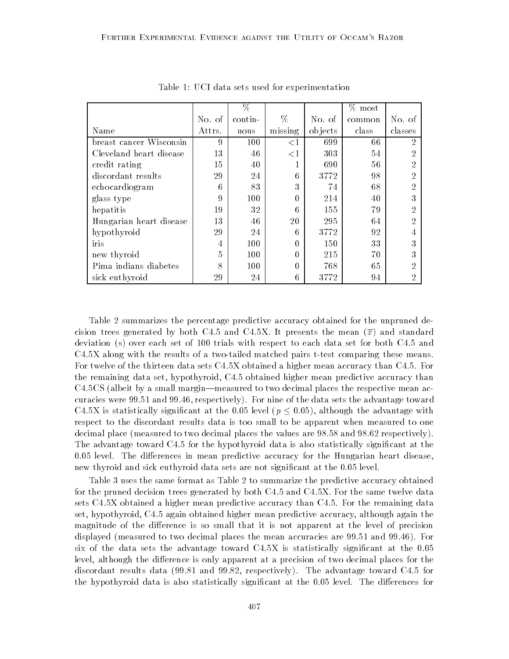|                         |        | $\%$    |          |         | $%$ most |         |
|-------------------------|--------|---------|----------|---------|----------|---------|
|                         | No. of | contin- | $\%$     | No. of  | common   | No. of  |
| Name                    | Attrs. | uous    | missing  | objects | class    | classes |
| breast cancer Wisconsin | 9      | 100     | $\leq$ 1 | 699     | 66       | 2       |
| Cleveland heart disease | 13     | 46      | $\leq$ 1 | 303     | 54       | 2       |
| credit rating           | 15     | 40      |          | 690     | 56       | 2       |
| discordant results      | 29     | 24      | 6        | 3772    | 98       | 2       |
| echocardiogram          | 6      | 83      | 3        | 74      | 68       | 2       |
| glass type              | 9      | 100     | 0        | 214     | 40       | 3       |
| hepatitis               | 19     | 32      | 6        | 155     | 79       | 2       |
| Hungarian heart disease | 13     | 46      | 20       | 295     | 64       | 2       |
| hypothyroid             | 29     | 24      | 6        | 3772    | 92       | 4       |
| iris                    | 4      | 100     | 0        | 150     | 33       | 3       |
| new thyroid             | 5      | 100     | 0        | 215     | 70       | 3       |
| Pima indians diabetes   | 8      | 100     | 0        | 768     | 65       | 2       |
| sick euthyroid          | 29     | 24      | 6        | 3772    | 94       | 2       |

Table 1: UCI data sets used for experimentation

Table 2 summarizes the percentage predictive accuracy obtained for the unpruned decision trees generated by both C4.5 and C4.5X. It presents the mean  $(\overline{x})$  and standard deviation (s) over each set of 100 trials with respect to each data set for both C4.5 and C4.5X along with the results of a two-tailed matched pairs t-test comparing these means. For twelve of the thirteen data sets C4.5X obtained a higher mean accuracy than C4.5. For the remaining data set, hypothyroid, C4.5 obtained higher mean predictive accuracy than  $C4.5CS$  (albeit by a small margin—measured to two decimal places the respective mean accuracies were 99.51 and 99.46, respectively). For nine of the data sets the advantage toward C4.5X is statistically significant at the 0.05 level ( $p \leq 0.05$ ), although the advantage with respect to the discordant results data is too small to be apparent when measured to one decimal place (measured to two decimal places the values are 98.58 and 98.62 respectively). The advantage toward C4.5 for the hypothyroid data is also statistically signicant at the  $0.05$  level. The differences in mean predictive accuracy for the Hungarian heart disease, new thyroid and sick euthyroid data sets are not signicant at the 0.05 level.

Table 3 uses the same format as Table 2 to summarize the predictive accuracy obtained for the pruned decision trees generated by both C4.5 and C4.5X. For the same twelve data sets C4.5X obtained a higher mean predictive accuracy than C4.5. For the remaining data set, hypothyroid, C4.5 again obtained higher mean predictive accuracy, although again the magnitude of the difference is so small that it is not apparent at the level of precision displayed (measured to two decimal places the mean accuracies are 99.51 and 99.46). For six of the data sets the advantage toward  $C4.5X$  is statistically significant at the  $0.05$ level, although the difference is only apparent at a precision of two decimal places for the discordant results data (99.81 and 99.82, respectively). The advantage toward C4.5 for the hypothyroid data is also statistically significant at the 0.05 level. The differences for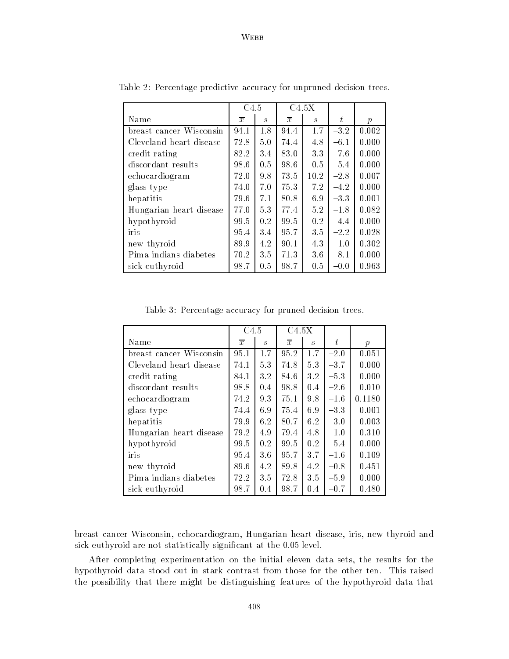# WEBB

|                         | C <sub>4.5</sub> |                             | C4.5X          |                             |        |                  |
|-------------------------|------------------|-----------------------------|----------------|-----------------------------|--------|------------------|
| Name                    | $\overline{x}$   | $\mathcal{S}_{\mathcal{S}}$ | $\overline{x}$ | $\mathcal{S}_{\mathcal{S}}$ | ŧ      | $\boldsymbol{p}$ |
| breast cancer Wisconsin | 94.1             | 1.8                         | 94.4           | 1.7                         | $-3.2$ | 0.002            |
| Cleveland heart disease | 72.8             | 5.0                         | 74.4           | 4.8                         | $-6.1$ | 0.000            |
| credit rating           | 82.2             | 3.4                         | 83.0           | 3.3                         | $-7.6$ | 0.000            |
| discordant results      | 98.6             | 0.5                         | 98.6           | 0.5                         | $-5.4$ | 0.000            |
| echocardiogram          | 72.0             | 9.8                         | 73.5           | 10.2                        | $-2.8$ | 0.007            |
| glass type              | 74.0             | 7.0                         | 75.3           | 7.2                         | $-4.2$ | 0.000            |
| hepatitis               | 79.6             | 7.1                         | 80.8           | 6.9                         | $-3.3$ | 0.001            |
| Hungarian heart disease | 77.0             | 5.3                         | 77.4           | 5.2                         | $-1.8$ | 0.082            |
| hypothyroid             | 99.5             | 0.2                         | 99.5           | 0.2                         | 4.4    | 0.000            |
| iris                    | 95.4             | 3.4                         | 95.7           | 3.5                         | $-2.2$ | 0.028            |
| new thyroid             | 89.9             | 4.2                         | 90.1           | 4.3                         | $-1.0$ | 0.302            |
| Pima indians diabetes   | 70.2             | 3.5                         | 71.3           | 3.6                         | $-8.1$ | 0.000            |
| sick euthyroid          | 98.7             | 0.5                         | 98.7           | 0.5                         | $-0.0$ | 0.963            |

Table 2: Percentage predictive accuracy for unpruned decision trees.

Table 3: Percentage accuracy for pruned decision trees.

|                         | C4.5           |               | C4.5X          |                             |        |                  |
|-------------------------|----------------|---------------|----------------|-----------------------------|--------|------------------|
| Name                    | $\overline{x}$ | $\mathcal{S}$ | $\overline{x}$ | $\mathcal{S}_{\mathcal{S}}$ | t      | $\boldsymbol{p}$ |
| breast cancer Wisconsin | 95.1           | 1.7           | 95.2           | 1.7                         | $-2.0$ | 0.051            |
| Cleveland heart disease | 74.1           | 5.3           | 74.8           | 5.3                         | $-3.7$ | 0.000            |
| credit rating           | 84.1           | 3.2           | 84.6           | 3.2                         | $-5.3$ | 0.000            |
| discordant results      | 98.8           | 0.4           | 98.8           | 0.4                         | $-2.6$ | 0.010            |
| echocardiogram          | 74.2           | 9.3           | 75.1           | 9.8                         | $-1.6$ | 0.1180           |
| glass type              | 74.4           | 6.9           | 75.4           | 6.9                         | $-3.3$ | 0.001            |
| hepatitis               | 79.9           | 6.2           | 80.7           | 6.2                         | $-3.0$ | 0.003            |
| Hungarian heart disease | 79.2           | 4.9           | 79.4           | 4.8                         | $-1.0$ | 0.310            |
| hypothyroid             | 99.5           | 0.2           | 99.5           | 0.2                         | 5.4    | 0.000            |
| iris                    | 95.4           | 3.6           | 95.7           | 3.7                         | $-1.6$ | 0.109            |
| new thyroid             | 89.6           | 4.2           | 89.8           | 4.2                         | $-0.8$ | 0.451            |
| Pima indians diabetes   | 72.2           | 3.5           | 72.8           | 3.5                         | $-5.9$ | 0.000            |
| sick euthyroid          | 98.7           | 0.4           | 98.7           | 0.4                         | $-0.7$ | 0.480            |

breast cancer Wisconsin, echocardiogram, Hungarian heart disease, iris, new thyroid and sick euthyroid are not statistically signicant at the 0.05 level.

After completing experimentation on the initial eleven data sets, the results for the hypothyroid data stood out in stark contrast from those for the other ten. This raised the possibility that there might be distinguishing features of the hypothyroid data that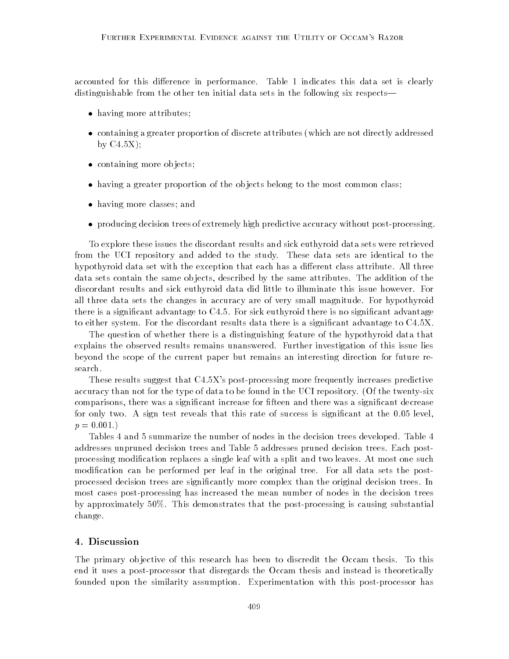accounted for this difference in performance. Table 1 indicates this data set is clearly distinguishable from the other ten initial data sets in the following six respects—

- having more attributes;
- containing a greater proportion of discrete attributes (which are not directly addressed by  $C4.5X$ ;
- containing more objects
- having a greater proportion of the ob jects belong to the most common class;
- having more classes; and
- producing decision trees of extremely high predictive accuracy without post-processing.

To explore these issues the discordant results and sick euthyroid data sets were retrieved from the UCI repository and added to the study. These data sets are identical to the hypothyroid data set with the exception that each has a different class attribute. All three data sets contain the same ob jects, described by the same attributes. The addition of the discordant results and sick euthyroid data did little to illuminate this issue however. For all three data sets the changes in accuracy are of very small magnitude. For hypothyroid there is a significant advantage to C4.5. For sick euthyroid there is no significant advantage to either system. For the discordant results data there is a signicant advantage to C4.5X.

The question of whether there is a distinguishing feature of the hypothyroid data that explains the observed results remains unanswered. Further investigation of this issue lies beyond the scope of the current paper but remains an interesting direction for future research.

These results suggest that C4.5X's post-processing more frequently increases predictive accuracy than not for the type of data to be found in the UCI repository. (Of the twenty-six comparisons, there was a signicant increase for fteen and there was a signicant decrease for only two. A sign test reveals that this rate of success is signicant at the 0.05 level,  $p = 0.001.$ 

Tables 4 and 5 summarize the number of nodes in the decision trees developed. Table 4 addresses unpruned decision trees and Table 5 addresses pruned decision trees. Each postprocessing modication replaces a single leaf with a split and two leaves. At most one such modication can be performed per leaf in the original tree. For all data sets the postprocessed decision trees are signicantly more complex than the original decision trees. In most cases post-processing has increased the mean number of nodes in the decision trees by approximately 50%. This demonstrates that the post-processing is causing substantial change.

## 4. Discussion

The primary ob jective of this research has been to discredit the Occam thesis. To this end it uses a post-processor that disregards the Occam thesis and instead is theoretically founded upon the similarity assumption. Experimentation with this post-processor has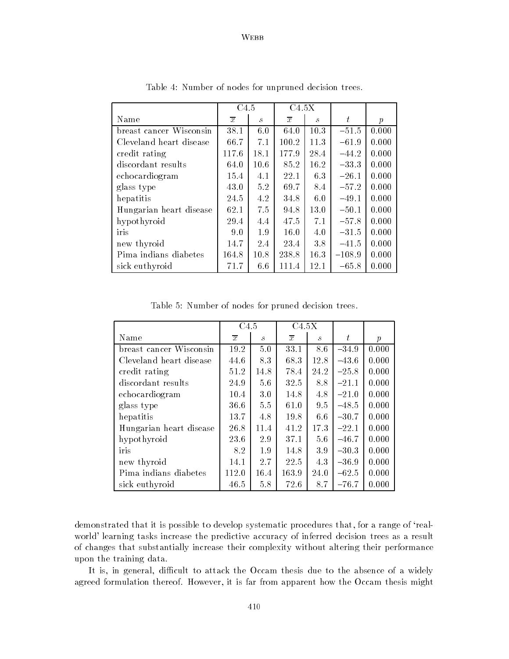# WEBB

|                         | C <sub>4.5</sub> |                             | C4.5X          |               |          |                  |
|-------------------------|------------------|-----------------------------|----------------|---------------|----------|------------------|
| Name                    | $\overline{x}$   | $\mathcal{S}_{\mathcal{S}}$ | $\overline{x}$ | $\mathcal{S}$ | t        | $\boldsymbol{p}$ |
| breast cancer Wisconsin | 38.1             | 6.0                         | 64.0           | 10.3          | $-51.5$  | 0.000            |
| Cleveland heart disease | 66.7             | 7.1                         | 100.2          | 11.3          | $-61.9$  | 0.000            |
| credit rating           | 117.6            | 18.1                        | 177.9          | 28.4          | $-44.2$  | 0.000            |
| discordant results      | 64.0             | 10.6                        | 85.2           | 16.2          | $-33.3$  | 0.000            |
| echocardiogram          | 15.4             | 4.1                         | 22.1           | 6.3           | $-26.1$  | 0.000            |
| glass type              | 43.0             | 5.2                         | 69.7           | 8.4           | $-57.2$  | 0.000            |
| hepatitis               | 24.5             | 4.2                         | 34.8           | 6.0           | $-49.1$  | 0.000            |
| Hungarian heart disease | 62.1             | 7.5                         | 94.8           | 13.0          | $-50.1$  | 0.000            |
| hypothyroid             | 29.4             | 4.4                         | 47.5           | 7.1           | $-57.8$  | 0.000            |
| iris                    | 9.0              | 1.9                         | 16.0           | 4.0           | $-31.5$  | 0.000            |
| new thyroid             | 14.7             | 2.4                         | 23.4           | 3.8           | $-41.5$  | 0.000            |
| Pima indians diabetes   | 164.8            | 10.8                        | 238.8          | 16.3          | $-108.9$ | 0.000            |
| sick euthyroid          | 71.7             | 6.6                         | 111.4          | 12.1          | $-65.8$  | 0.000            |

Table 4: Number of nodes for unpruned decision trees.

Table 5: Number of nodes for pruned decision trees.

|                         | C4.5           |                             | C4.5X          |                             |         |                  |
|-------------------------|----------------|-----------------------------|----------------|-----------------------------|---------|------------------|
| Name                    | $\overline{x}$ | $\mathcal{S}_{\mathcal{S}}$ | $\overline{x}$ | $\mathcal{S}_{\mathcal{S}}$ | t       | $\boldsymbol{p}$ |
| breast cancer Wisconsin | 19.2           | 5.0                         | 33.1           | 8.6                         | $-34.9$ | 0.000            |
| Cleveland heart disease | 44.6           | 8.3                         | 68.3           | 12.8                        | $-43.6$ | 0.000            |
| credit rating           | 51.2           | 14.8                        | 78.4           | 24.2                        | $-25.8$ | 0.000            |
| discordant results      | 24.9           | 5.6                         | 32.5           | 8.8                         | $-21.1$ | 0.000            |
| echocardiogram          | 10.4           | 3.0                         | 14.8           | 4.8                         | $-21.0$ | 0.000            |
| glass type              | 36.6           | 5.5                         | 61.0           | 9.5                         | $-48.5$ | 0.000            |
| hepatitis               | 13.7           | 4.8                         | 19.8           | 6.6                         | $-30.7$ | 0.000            |
| Hungarian heart disease | 26.8           | 11.4                        | 41.2           | 17.3                        | $-22.1$ | 0.000            |
| hypothyroid             | 23.6           | 2.9                         | 37.1           | 5.6                         | $-46.7$ | 0.000            |
| iris                    | 8.2            | 1.9                         | 14.8           | 3.9                         | $-30.3$ | 0.000            |
| new thyroid             | 14.1           | 2.7                         | 22.5           | 4.3                         | $-36.9$ | 0.000            |
| Pima indians diabetes   | 112.0          | 16.4                        | 163.9          | 24.0                        | $-62.5$ | 0.000            |
| sick euthyroid          | 46.5           | 5.8                         | 72.6           | 8.7                         | $-76.7$ | 0.000            |

demonstrated that it is possible to develop systematic procedures that, for a range of `realworld' learning tasks increase the predictive accuracy of inferred decision trees as a result of changes that substantially increase their complexity without altering their performance upon the training data.

It is, in general, difficult to attack the Occam thesis due to the absence of a widely agreed formulation thereof. However, it is far from apparent how the Occam thesis might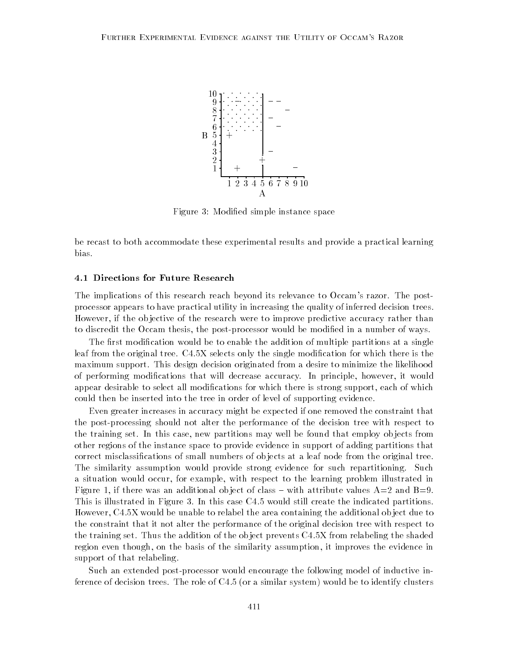

Figure 3: Modied simple instance space

be recast to both accommodate these experimental results and provide a practical learning bias.

#### 4.1 Directions for Future Research

The implications of this research reach beyond its relevance to Occam's razor. The postprocessor appears to have practical utility in increasing the quality of inferred decision trees. However, if the ob jective of the research were to improve predictive accuracy rather than to discredit the Occam thesis, the post-processor would be modied in a number of ways.

The first modification would be to enable the addition of multiple partitions at a single leaf from the original tree. C4.5X selects only the single modication for which there is the maximum support. This design decision originated from a desire to minimize the likelihood of performing modications that will decrease accuracy. In principle, however, it would appear desirable to select all modifications for which there is strong support, each of which could then be inserted into the tree in order of level of supporting evidence.

Even greater increases in accuracy might be expected if one removed the constraint that the post-processing should not alter the performance of the decision tree with respect to the training set. In this case, new partitions may well be found that employ ob jects from other regions of the instance space to provide evidence in support of adding partitions that correct misclassications of small numbers of ob jects at a leaf node from the original tree. The similarity assumption would provide strong evidence for such repartitioning. Such a situation would occur, for example, with respect to the learning problem illustrated in Figure 1, if there was an additional object of class – with attribute values  $A=2$  and  $B=9$ . This is illustrated in Figure 3. In this case C4.5 would still create the indicated partitions. However, C4.5X would be unable to relabel the area containing the additional ob ject due to the constraint that it not alter the performance of the original decision tree with respect to the training set. Thus the addition of the ob ject prevents C4.5X from relabeling the shaded region even though, on the basis of the similarity assumption, it improves the evidence in support of that relabeling.

Such an extended post-processor would encourage the following model of inductive inference of decision trees. The role of C4.5 (or a similar system) would be to identify clusters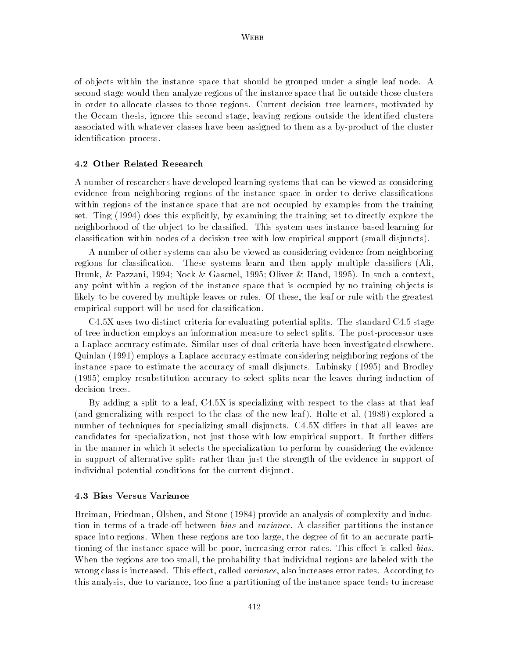of ob jects within the instance space that should be grouped under a single leaf node. A second stage would then analyze regions of the instance space that lie outside those clusters in order to allocate classes to those regions. Current decision tree learners, motivated by the Occam thesis, ignore this second stage, leaving regions outside the identified clusters associated with whatever classes have been assigned to them as a by-product of the cluster identication process.

#### 4.2 Other Related Research

A number of researchers have developed learning systems that can be viewed as considering evidence from neighboring regions of the instance space in order to derive classications within regions of the instance space that are not occupied by examples from the training set. Ting (1994) does this explicitly, by examining the training set to directly explore the neighborhood of the object to be classified. This system uses instance based learning for classication within nodes of a decision tree with low empirical support (small disjuncts).

A number of other systems can also be viewed as considering evidence from neighboring regions for classification. These systems learn and then apply multiple classifiers (Ali, Brunk, & Pazzani, 1994; Nock & Gascuel, 1995; Oliver & Hand, 1995). In such a context, any point within a region of the instance space that is occupied by no training ob jects is likely to be covered by multiple leaves or rules. Of these, the leaf or rule with the greatest empirical support will be used for classication.

C4.5X uses two distinct criteria for evaluating potential splits. The standard C4.5 stage of tree induction employs an information measure to select splits. The post-processor uses a Laplace accuracy estimate. Similar uses of dual criteria have been investigated elsewhere. Quinlan (1991) employs a Laplace accuracy estimate considering neighboring regions of the instance space to estimate the accuracy of small disjuncts. Lubinsky (1995) and Brodley (1995) employ resubstitution accuracy to select splits near the leaves during induction of decision trees.

By adding a split to a leaf, C4.5X is specializing with respect to the class at that leaf (and generalizing with respect to the class of the new leaf ). Holte et al. (1989) explored a number of techniques for specializing small disjuncts. C4.5X differs in that all leaves are candidates for specialization, not just those with low empirical support. It further differs in the manner in which it selects the specialization to perform by considering the evidence in support of alternative splits rather than just the strength of the evidence in support of individual potential conditions for the current disjunct.

#### 4.3 Bias Versus Variance

Breiman, Friedman, Olshen, and Stone (1984) provide an analysis of complexity and induction in terms of a trade-off between *bias* and *variance*. A classifier partitions the instance space into regions. When these regions are too large, the degree of fit to an accurate partitioning of the instance space will be poor, increasing error rates. This effect is called bias. When the regions are too small, the probability that individual regions are labeled with the wrong class is increased. This effect, called *variance*, also increases error rates. According to this analysis, due to variance, too fine a partitioning of the instance space tends to increase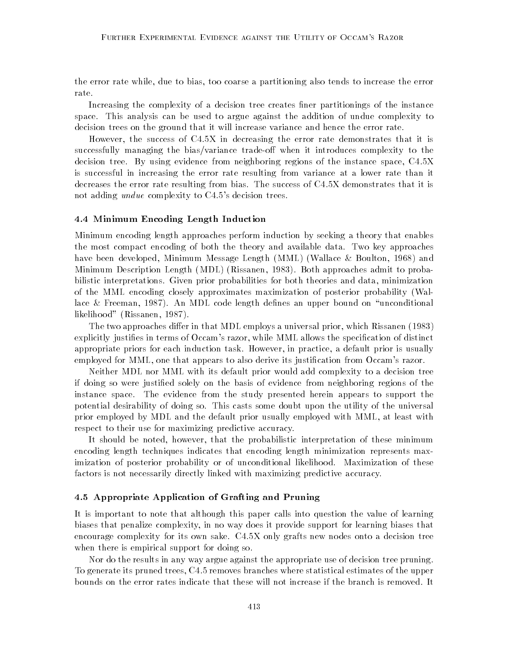the error rate while, due to bias, too coarse a partitioning also tends to increase the error rate.

Increasing the complexity of a decision tree creates finer partitionings of the instance space. This analysis can be used to argue against the addition of undue complexity to decision trees on the ground that it will increase variance and hence the error rate.

However, the success of C4.5X in decreasing the error rate demonstrates that it is successfully managing the bias/variance trade-off when it introduces complexity to the decision tree. By using evidence from neighboring regions of the instance space, C4.5X is successful in increasing the error rate resulting from variance at a lower rate than it decreases the error rate resulting from bias. The success of C4.5X demonstrates that it is not adding *undue* complexity to C4.5's decision trees.

#### 4.4 Minimum Encoding Length Induction

Minimum encoding length approaches perform induction by seeking a theory that enables the most compact encoding of both the theory and available data. Two key approaches have been developed, Minimum Message Length (MML) (Wallace & Boulton, 1968) and Minimum Description Length (MDL) (Rissanen, 1983). Both approaches admit to probabilistic interpretations. Given prior probabilities for both theories and data, minimization of the MML encoding closely approximates maximization of posterior probability (Wallace & Freeman, 1987). An MDL code length defines an upper bound on "unconditional likelihood" (Rissanen, 1987).

The two approaches differ in that MDL employs a universal prior, which Rissanen (1983) explicitly justifies in terms of Occam's razor, while MML allows the specification of distinct appropriate priors for each induction task. However, in practice, a default prior is usually employed for MML, one that appears to also derive its justification from Occam's razor.

Neither MDL nor MML with its default prior would add complexity to a decision tree if doing so were justied solely on the basis of evidence from neighboring regions of the instance space. The evidence from the study presented herein appears to support the potential desirability of doing so. This casts some doubt upon the utility of the universal prior employed by MDL and the default prior usually employed with MML, at least with respect to their use for maximizing predictive accuracy.

It should be noted, however, that the probabilistic interpretation of these minimum encoding length techniques indicates that encoding length minimization represents maximization of posterior probability or of unconditional likelihood. Maximization of these factors is not necessarily directly linked with maximizing predictive accuracy.

## 4.5 Appropriate Application of Grafting and Pruning

It is important to note that although this paper calls into question the value of learning biases that penalize complexity, in no way does it provide support for learning biases that encourage complexity for its own sake. C4.5X only grafts new nodes onto a decision tree when there is empirical support for doing so.

Nor do the results in any way argue against the appropriate use of decision tree pruning. To generate its pruned trees, C4.5 removes branches where statistical estimates of the upper bounds on the error rates indicate that these will not increase if the branch is removed. It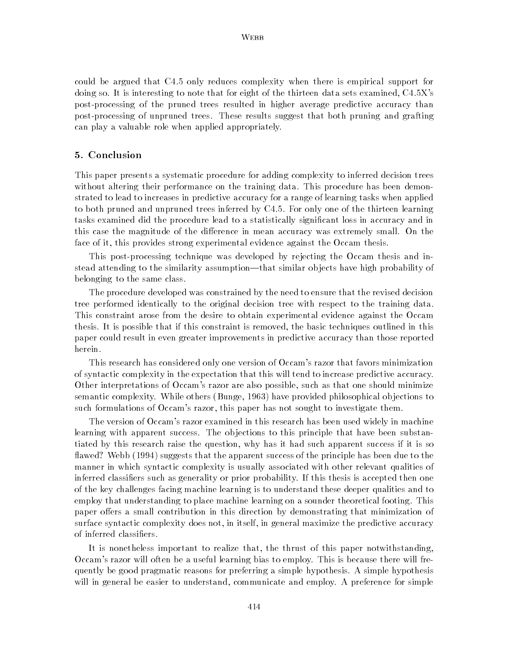could be argued that C4.5 only reduces complexity when there is empirical support for doing so. It is interesting to note that for eight of the thirteen data sets examined, C4.5X's post-processing of the pruned trees resulted in higher average predictive accuracy than post-processing of unpruned trees. These results suggest that both pruning and grafting can play a valuable role when applied appropriately.

## 5. Conclusion

This paper presents a systematic procedure for adding complexity to inferred decision trees without altering their performance on the training data. This procedure has been demonstrated to lead to increases in predictive accuracy for a range of learning tasks when applied to both pruned and unpruned trees inferred by C4.5. For only one of the thirteen learning tasks examined did the procedure lead to a statistically signicant loss in accuracy and in this case the magnitude of the difference in mean accuracy was extremely small. On the face of it, this provides strong experimental evidence against the Occam thesis.

This post-processing technique was developed by rejecting the Occam thesis and instead attending to the similarity assumption—that similar objects have high probability of belonging to the same class.

The procedure developed was constrained by the need to ensure that the revised decision tree performed identically to the original decision tree with respect to the training data. This constraint arose from the desire to obtain experimental evidence against the Occam thesis. It is possible that if this constraint is removed, the basic techniques outlined in this paper could result in even greater improvements in predictive accuracy than those reported herein.

This research has considered only one version of Occam's razor that favors minimization of syntactic complexity in the expectation that this will tend to increase predictive accuracy. Other interpretations of Occam's razor are also possible, such as that one should minimize semantic complexity. While others (Bunge, 1963) have provided philosophical ob jections to such formulations of Occam's razor, this paper has not sought to investigate them.

The version of Occam's razor examined in this research has been used widely in machine learning with apparent success. The ob jections to this principle that have been substantiated by this research raise the question, why has it had such apparent success if it is so flawed? Webb (1994) suggests that the apparent success of the principle has been due to the manner in which syntactic complexity is usually associated with other relevant qualities of inferred classiers such as generality or prior probability. If this thesis is accepted then one of the key challenges facing machine learning is to understand these deeper qualities and to employ that understanding to place machine learning on a sounder theoretical footing. This paper offers a small contribution in this direction by demonstrating that minimization of surface syntactic complexity does not, in itself, in general maximize the predictive accuracy of inferred classiers.

It is nonetheless important to realize that, the thrust of this paper notwithstanding, Occam's razor will often be a useful learning bias to employ. This is because there will frequently be good pragmatic reasons for preferring a simple hypothesis. A simple hypothesis will in general be easier to understand, communicate and employ. A preference for simple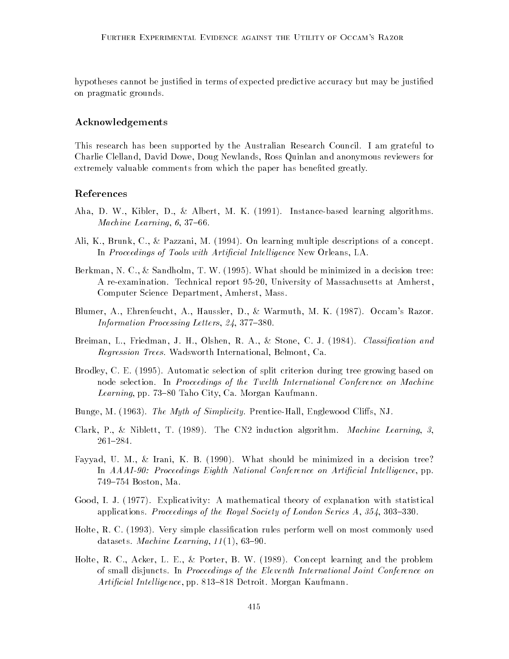hypotheses cannot be justied in terms of expected predictive accuracy but may be justied on pragmatic grounds.

# Acknowledgements

This research has been supported by the Australian Research Council. I am grateful to Charlie Clelland, David Dowe, Doug Newlands, Ross Quinlan and anonymous reviewers for extremely valuable comments from which the paper has benefited greatly.

## References

- Aha, D. W., Kibler, D., & Albert, M. K. (1991). Instance-based learning algorithms. Machine Learning,  $6, 37-66$ .
- Ali, K., Brunk, C., & Pazzani, M. (1994). On learning multiple descriptions of a concept. In Proceedings of Tools with Artificial Intelligence New Orleans, LA.
- Berkman, N. C., & Sandholm, T. W. (1995). What should be minimized in a decision tree: A re-examination. Technical report 95-20, University of Massachusetts at Amherst, Computer Science Department, Amherst, Mass.
- Blumer, A., Ehrenfeucht, A., Haussler, D., & Warmuth, M. K. (1987). Occam's Razor. Information Processing Letters,  $24, 377-380$ .
- Breiman, L., Friedman, J. H., Olshen, R. A., & Stone, C. J. (1984). Classification and Regression Trees. Wadsworth International, Belmont, Ca.
- Brodley, C. E. (1995). Automatic selection of split criterion during tree growing based on node selection. In Proceedings of the Twelth International Conference on Machine Learning, pp. 73-80 Taho City, Ca. Morgan Kaufmann.
- Bunge, M. (1963). The Myth of Simplicity. Prentice-Hall, Englewood Cliffs, NJ.
- Clark, P., & Niblett, T. (1989). The CN2 induction algorithm. Machine Learning, 3, 261-284.
- Fayyad, U. M., & Irani, K. B. (1990). What should be minimized in a decision tree? In AAAI-90: Proceedings Eighth National Conference on Artificial Intelligence, pp. 749-754 Boston, Ma.
- Good, I. J. (1977). Explicativity: A mathematical theory of explanation with statistical applications. Proceedings of the Royal Society of London Series  $A, 354, 303-330$ .
- Holte, R. C. (1993). Very simple classication rules perform well on most commonly used datasets. *Machine Learning*,  $11(1)$ , 63-90.
- Holte, R. C., Acker, L. E., & Porter, B. W. (1989). Concept learning and the problem of small disjuncts. In Proceedings of the Eleventh International Joint Conference on Artificial Intelligence, pp. 813–818 Detroit. Morgan Kaufmann.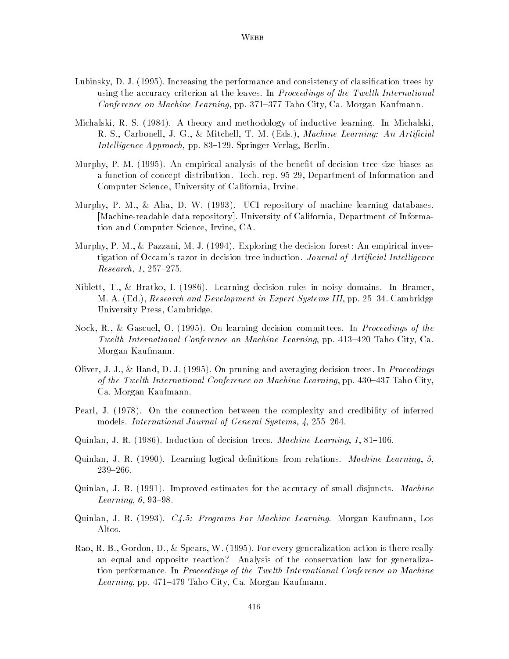- Lubinsky, D. J. (1995). Increasing the performance and consistency of classification trees by using the accuracy criterion at the leaves. In Proceedings of the Twelth International Conference on Machine Learning, pp. 371–377 Taho City, Ca. Morgan Kaufmann.
- Michalski, R. S. (1984). A theory and methodology of inductive learning. In Michalski, R. S., Carbonell, J. G., & Mitchell, T. M. (Eds.), *Machine Learning: An Artificial* Intelligence Approach, pp. 83-129. Springer-Verlag, Berlin.
- Murphy, P. M. (1995). An empirical analysis of the benet of decision tree size biases as a function of concept distribution. Tech. rep. 95-29, Department of Information and Computer Science, University of California, Irvine.
- Murphy, P. M., & Aha, D. W. (1993). UCI repository of machine learning databases. [Machine-readable data repository]. University of California, Department of Information and Computer Science, Irvine, CA.
- Murphy, P. M., & Pazzani, M. J. (1994). Exploring the decision forest: An empirical investigation of Occam's razor in decision tree induction. Journal of Artificial Intelligence  $Research, 1, 257–275.$
- Niblett, T., & Bratko, I. (1986). Learning decision rules in noisy domains. In Bramer, M. A. (Ed.), Research and Development in Expert Systems III, pp. 25–34. Cambridge University Press, Cambridge.
- Nock, R., & Gascuel, O. (1995). On learning decision committees. In Proceedings of the Twelth International Conference on Machine Learning, pp.  $413{-}420$  Taho City, Ca. Morgan Kaufmann.
- Oliver, J. J., & Hand, D. J. (1995). On pruning and averaging decision trees. In Proceedings of the Twelth International Conference on Machine Learning, pp. 430–437 Taho City, Ca. Morgan Kaufmann.
- Pearl, J. (1978). On the connection between the complexity and credibility of inferred models. International Journal of General Systems,  $\lambda$ , 255-264.
- Quinlan, J. R. (1986). Induction of decision trees. *Machine Learning*, 1, 81–106.
- Quinlan, J. R.  $(1990)$ . Learning logical definitions from relations. *Machine Learning*, 5, 239-266.
- Quinlan, J. R. (1991). Improved estimates for the accuracy of small disjuncts. Machine Learning,  $6, 93-98$ .
- Quinlan, J. R. (1993). C4.5: Programs For Machine Learning. Morgan Kaufmann, Los Altos.
- Rao, R. B., Gordon, D., & Spears, W. (1995). For every generalization action is there really an equal and opposite reaction? Analysis of the conservation law for generalization performance. In Proceedings of the Twelth International Conference on Machine Learning, pp. 471–479 Taho City, Ca. Morgan Kaufmann.